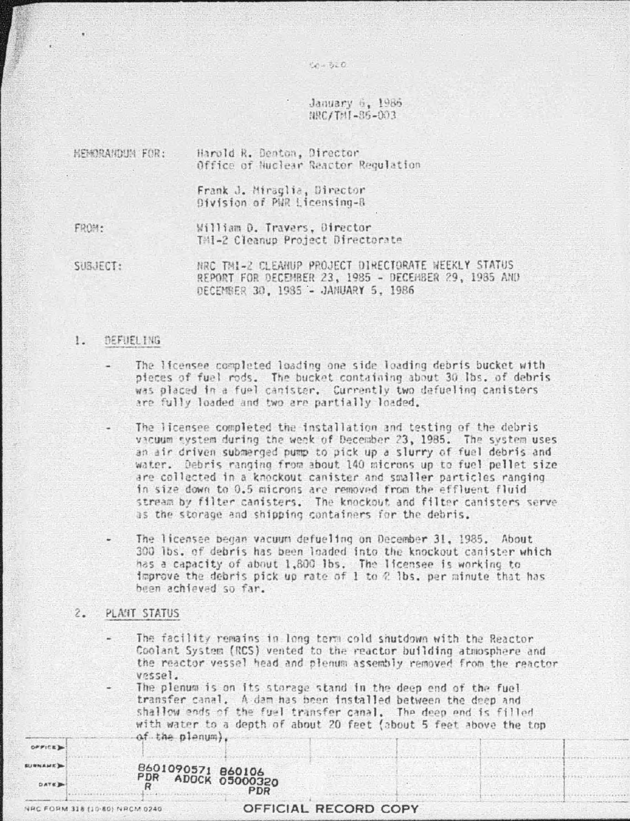January 6, 1986 FOO-28-18T\384

 $1 - 5 - 0$ 

Harold R. Denton, Director MENORANDUM FOR: Office of Nuclear Reactor Regulation

> Frank J. Miraglia, Director Division of PUR Licensing-R

FROM:

William D. Travers, Director TMI-2 Cleanup Project Directorate

NRC TMI-2 CLEANUP PROJECT DIRECTORATE WEEKLY STATUS SUBJECT: REPORT FOR DECEMBER 23, 1985 - DECEMBER 29, 1985 AND DECEMBER 30, 1985 - JANUARY 5, 1986

#### $1.$ DEFIJEL ING

The licensee completed loading one side loading debris bucket with pieces of fuel rods. The bucket containing about 30 lbs. of debris was placed in a fuel canister. Currently two defueling canisters are fully loaded and two are partially loaded.

The licensee completed the installation and testing of the debris vacuum system during the week of December 23, 1985. The system uses an air driven submerged pump to pick up a slurry of fuel debris and. water. Debris ranging from about 140 microns up to fuel pellet size are collected in a knockout canister and smaller particles ranging in size down to 0.5 microns are removed from the effluent fluid stream by filter canisters. The knockout and filter canisters serve as the storage and shipping containers for the debris.

The licensee began vacuum defueling on December 31, 1985. About 300 lbs. of debris has been loaded into the knockout canister which has a capacity of about 1,800 lbs. The licensee is working to improve the debris pick up rate of 1 to  $2$  lbs, per minute that has been achieved so far.

#### $2.7$ PLANT STATUS

The facility remains in long term cold shutdown with the Reactor Coolant System (RCS) vented to the reactor building atmosphere and the reactor vessel head and plenum assembly removed from the reactor vessel.

The plenum is on its storage stand in the deep end of the fuel transfer canal. A dam has been installed between the deep and shallow ends of the fuel transfer canal. The deep end is filled with water to a depth of about 20 feet (about 5 feet above the top of the planum).

| <b>PDR</b><br>se. | 8601090571 860106<br><b>ADOCK 05000320</b> |
|-------------------|--------------------------------------------|
|                   | <b>PDR</b>                                 |

**OFFICE SURNAME** DATE B

# OFFICIAL RECORD COPY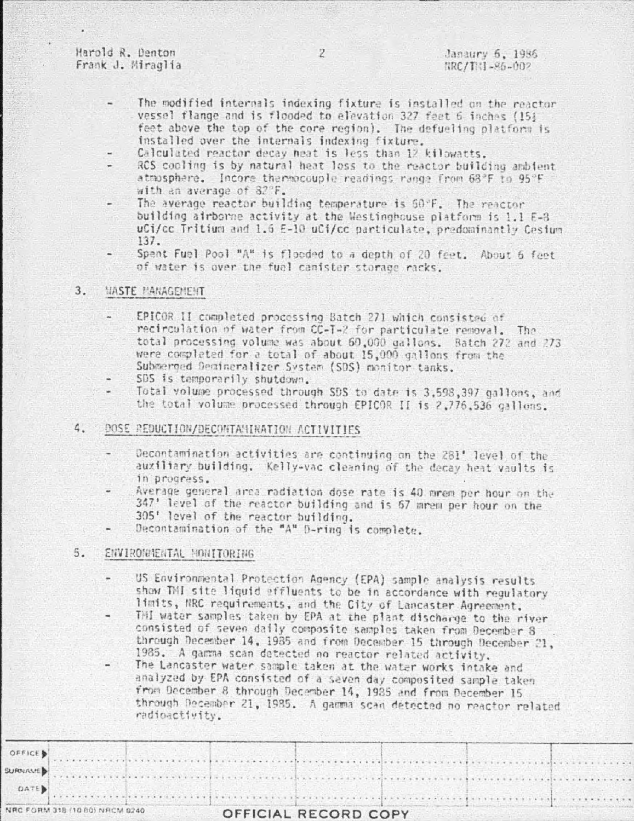Harold R. Denton Frank J. Miraglia

- The modified internals indexing fixture is installed on the reactor vessel flange and is flooded to elevation 327 feet 6 inches (15) feet above the top of the core region). The defueling platform is installed over the internals indexing fixture.
- Calculated reactor decay heat is less than 12 kilowatts.
- RCS cooling is by natural heat loss to the reactor building ambient atmosphere. Incore thermocouple readings range from 68°F to 95°F with an average of 82°F.
- The average reactor building temperature is 50°F. The reactor building airborne activity at the Westinghouse platform is 1.1 E-8 uCi/cc Tritium and 1.6 E-10 uCi/cc particulate, predominantly Cesium  $137.$
- Spent Fuel Pool "A" is flooded to a depth of 20 feet. About 6 feet of water is over the fuel canister storage racks.

### $3.$ *HASTE MANAGEMENT*

- EPICOR II completed processing Batch 271 which consisted of recirculation of water from CC-T-2 for particulate removal. The total processing volume was about 60,000 gallons. Batch 272 and 273 were completed for a total of about 15,000 gallons from the Submerged Demineralizer System (SDS) monitor tanks.
- SDS is temporarily shutdown.
- Total volume processed through SDS to date is 3,598,397 gallons, and the total volume processed through EPICOR II is 2,776,536 gallons.
- DOSE REDUCTION/DECONTANINATION ACTIVITIES 4.
	- Decontamination activities are continuing on the 281' level of the auxiliary building. Kelly-vac cleaning of the decay heat vaults is in progress.
	- Average general area radiation dose rate is 40 mrem per hour on the 347' level of the reactor building and is 67 mrem per hour on the 305' level of the reactor building.
	- Decontamination of the "A" D-ring is complete.

## ENVIRONMENTAL MONITORING 5.

- US Environmental Protection Agency (EPA) sample analysis results show TMI site liquid effluents to be in accordance with regulatory limits, NRC requirements, and the City of Lancaster Agreement.
- THI water samples taken by EPA at the plant discharge to the river consisted of seven daily composite samples taken from December 8 through December 14, 1985 and from December 15 through December 21. 1985. A gamma scan detected no reactor related activity.
- The Lancaster water sample taken at the water works intake and analyzed by EPA consisted of a seven day composited sample taken from December 8 through December 14, 1985 and from December 15 through December 21, 1985. A gamma scan detected no reactor related radioactivity.

|                         | <b>VRC FORM 318 (10 80) NRCM 0240.</b> | OFFICIAL RECORD COPY |  |  |
|-------------------------|----------------------------------------|----------------------|--|--|
| DATE                    |                                        |                      |  |  |
| <b>WRITING STRAIGHT</b> |                                        |                      |  |  |
| OFFICE                  |                                        |                      |  |  |
|                         |                                        |                      |  |  |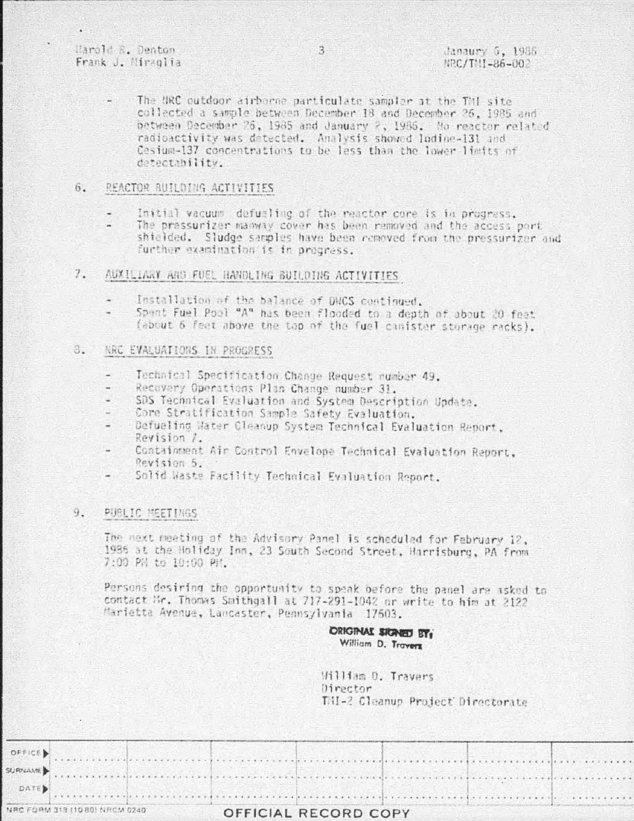Marold R. Denton Frank J. Miraglia

The NRC outdoor airborne particulate sampler at the TNI site collected a sample between December 18 and December 26, 1985 and between December 26, 1985 and January 2, 1986. No reactor related radioactivity was detected. Analysis showed lodine-131 and Cosium-137 concentrations to be less than the lower limits of detectability.

#### 6. REACTOR BUILDING ACTIVITIES

- Initial vacuum, defusiing of the reactor core is in progress.
- The pressurizer manway cover has been removed and the access port shielded. Sludge samples have been removed from the pressurizer and further examination is in progress.

### $7.$ AUXILIARY AND FUEL HANDLING BUILDING ACTIVITIES

- Installation of the balance of DMCS continued.
- Spent Fuel Pool "A" has been flooded to a depth of about 20 feet. (about 6 feet above the top of the fuel cinister storage racks).

### 8. NRC EVALUATIONS IN PROGRESS

- Technical Specification Change Request number 49.
- Recovery Operations Plan Change number 31.
- SDS Technical Evaluation and System Description Update.
- Core Stratification Sample Safety Evaluation.
- Defueling Water Cleanup System Technical Evaluation Report. Revision 7.
- Containment Air Control Envelope Technical Evaluation Report.  $\overline{\phantom{a}}$ Revision 5.
- Solid Waste Facility Technical Evaluation Report.

### 9. PUBLIC MEETINGS

The next meeting of the Advisory Panel is scheduled for February 12, 1985 at the Holiday Inn, 23 South Second Street, Harrisburg, PA from 7:00 PM to 10:00 PM.

Persons desiring the opportunity to speak before the panel are asked to contact Mr. Thomas Smithgall at 717-291-1042 or write to him at 2122 Marietta Avenue, Lancaster, Pennsylvania 17603.

> **ORIGINAL SIGNED BY:** William D. Travers

William D. Travers Director THI-2 Cleanup Project Directorate

|      | NRC FORM 318 (10 80) NRCM 0240                                                                                                                                                                                                 | OFFICIAL RECORD COPY |  |  |
|------|--------------------------------------------------------------------------------------------------------------------------------------------------------------------------------------------------------------------------------|----------------------|--|--|
| DATE |                                                                                                                                                                                                                                |                      |  |  |
|      |                                                                                                                                                                                                                                |                      |  |  |
|      |                                                                                                                                                                                                                                |                      |  |  |
|      | OFFICE Description of the continuing and the continuing of the continuing of the continuing of the continuing of the continuing of the continuing of the continuing of the continuing of the continuing of the continuing of t |                      |  |  |